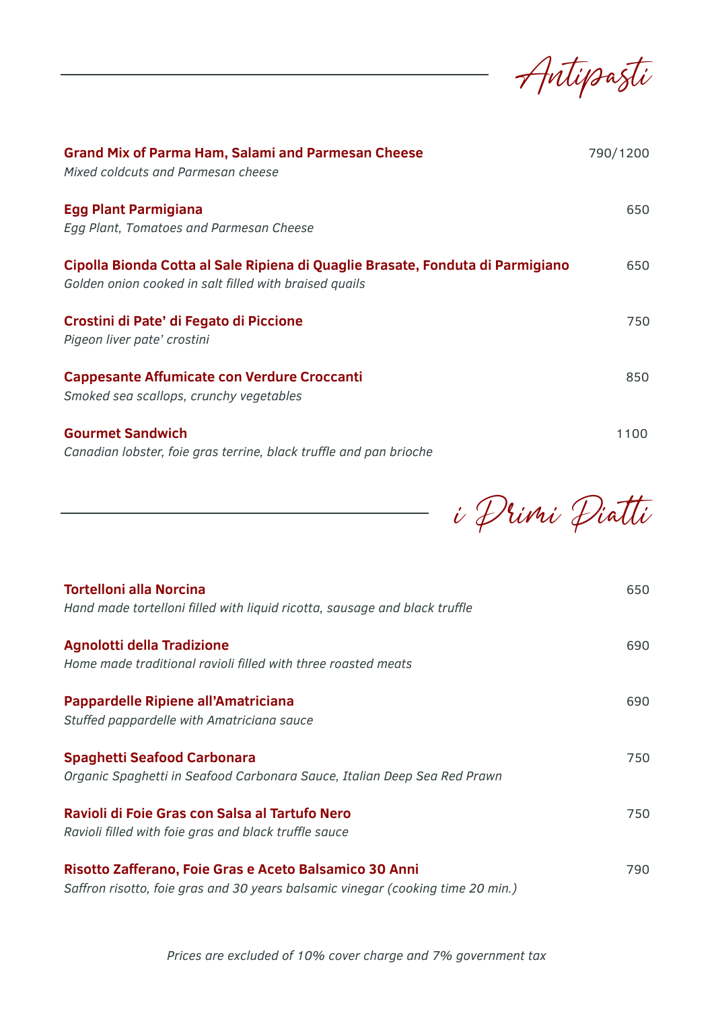Antipasti

| <b>Grand Mix of Parma Ham, Salami and Parmesan Cheese</b><br>Mixed coldcuts and Parmesan cheese                                          | 790/1200 |
|------------------------------------------------------------------------------------------------------------------------------------------|----------|
| <b>Egg Plant Parmigiana</b><br>Egg Plant, Tomatoes and Parmesan Cheese                                                                   | 650      |
| Cipolla Bionda Cotta al Sale Ripiena di Quaglie Brasate, Fonduta di Parmigiano<br>Golden onion cooked in salt filled with braised quails | 650      |
| Crostini di Pate' di Fegato di Piccione<br>Pigeon liver pate' crostini                                                                   | 750      |
| <b>Cappesante Affumicate con Verdure Croccanti</b><br>Smoked sea scallops, crunchy vegetables                                            | 850      |
| <b>Gourmet Sandwich</b><br>Canadian lobster, foie gras terrine, black truffle and pan brioche                                            | 1100     |

i Primi Piatti

| <b>Tortelloni alla Norcina</b><br>Hand made tortelloni filled with liquid ricotta, sausage and black truffle                              | 650 |
|-------------------------------------------------------------------------------------------------------------------------------------------|-----|
| <b>Agnolotti della Tradizione</b><br>Home made traditional ravioli filled with three roasted meats                                        | 690 |
| Pappardelle Ripiene all'Amatriciana<br>Stuffed pappardelle with Amatriciana sauce                                                         | 690 |
| <b>Spaghetti Seafood Carbonara</b><br>Organic Spaghetti in Seafood Carbonara Sauce, Italian Deep Sea Red Prawn                            | 750 |
| Ravioli di Foie Gras con Salsa al Tartufo Nero<br>Ravioli filled with foie gras and black truffle sauce                                   | 750 |
| Risotto Zafferano, Foie Gras e Aceto Balsamico 30 Anni<br>Saffron risotto, foie gras and 30 years balsamic vinegar (cooking time 20 min.) | 790 |

*Prices are excluded of 10% cover charge and 7% government tax*